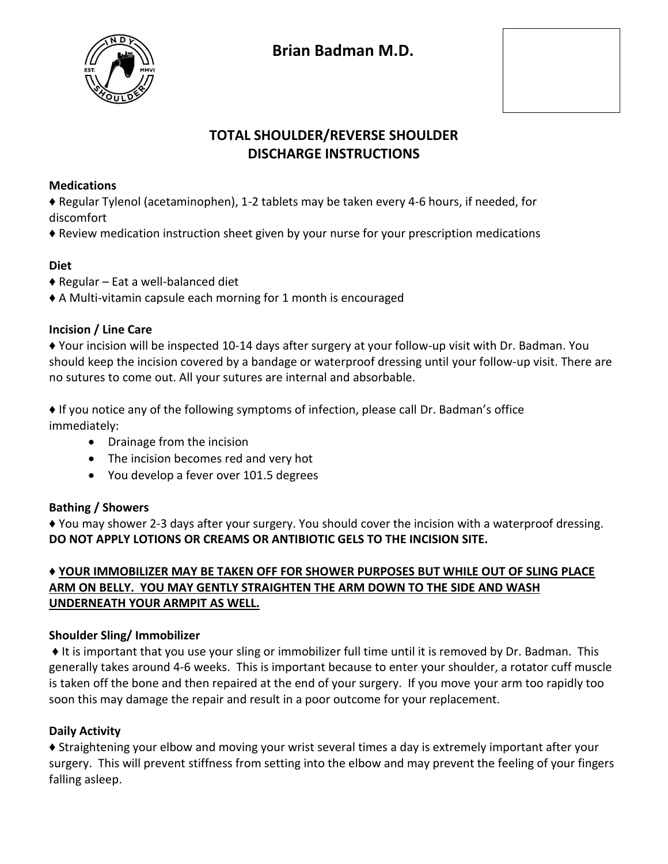

# **TOTAL SHOULDER/REVERSE SHOULDER DISCHARGE INSTRUCTIONS**

#### **Medications**

♦ Regular Tylenol (acetaminophen), 1-2 tablets may be taken every 4-6 hours, if needed, for discomfort

♦ Review medication instruction sheet given by your nurse for your prescription medications

#### **Diet**

- $\triangle$  Regular Eat a well-balanced diet
- ♦ A Multi-vitamin capsule each morning for 1 month is encouraged

### **Incision / Line Care**

♦ Your incision will be inspected 10-14 days after surgery at your follow-up visit with Dr. Badman. You should keep the incision covered by a bandage or waterproof dressing until your follow-up visit. There are no sutures to come out. All your sutures are internal and absorbable.

♦ If you notice any of the following symptoms of infection, please call Dr. Badman's office immediately:

- Drainage from the incision
- The incision becomes red and very hot
- You develop a fever over 101.5 degrees

#### **Bathing / Showers**

♦ You may shower 2-3 days after your surgery. You should cover the incision with a waterproof dressing. **DO NOT APPLY LOTIONS OR CREAMS OR ANTIBIOTIC GELS TO THE INCISION SITE.** 

### ♦ **YOUR IMMOBILIZER MAY BE TAKEN OFF FOR SHOWER PURPOSES BUT WHILE OUT OF SLING PLACE ARM ON BELLY. YOU MAY GENTLY STRAIGHTEN THE ARM DOWN TO THE SIDE AND WASH UNDERNEATH YOUR ARMPIT AS WELL.**

#### **Shoulder Sling/ Immobilizer**

♦ It is important that you use your sling or immobilizer full time until it is removed by Dr. Badman. This generally takes around 4-6 weeks. This is important because to enter your shoulder, a rotator cuff muscle is taken off the bone and then repaired at the end of your surgery. If you move your arm too rapidly too soon this may damage the repair and result in a poor outcome for your replacement.

#### **Daily Activity**

♦ Straightening your elbow and moving your wrist several times a day is extremely important after your surgery. This will prevent stiffness from setting into the elbow and may prevent the feeling of your fingers falling asleep.